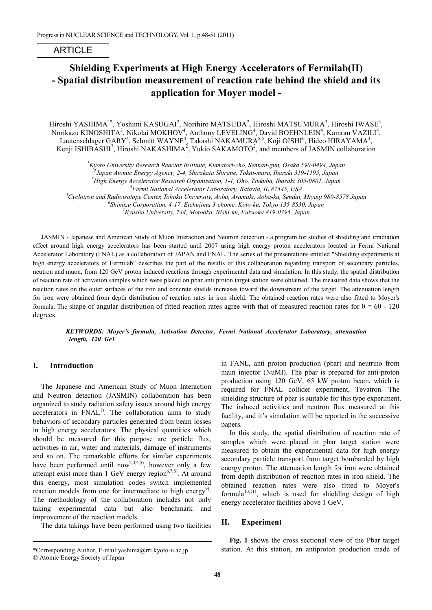# ARTICLE

# **Shielding Experiments at High Energy Accelerators of Fermilab(II) - Spatial distribution measurement of reaction rate behind the shield and its application for Moyer model -**

Hiroshi YASHIMA<sup>1\*</sup>, Yoshimi KASUGAI<sup>2</sup>, Norihiro MATSUDA<sup>2</sup>, Hiroshi MATSUMURA<sup>3</sup>, Hiroshi IWASE<sup>3</sup>, Norikazu KINOSHITA $^3$ , Nikolai MOKHOV $^4$ , Anthony LEVELING $^4$ , David BOEHNLEIN $^4$ , Kamran VAZILI $^4$ , Lautenschlager GARY<sup>4</sup>, Schmitt WAYNE<sup>4</sup>, Takashi NAKAMURA<sup>5,6</sup>, Koji OISHI<sup>6</sup>, Hideo HIRAYAMA<sup>3</sup>, Kenji ISHIBASHI<sup>7</sup>, Hiroshi NAKASHIMA<sup>2</sup>, Yukio SAKAMOTO<sup>2</sup>, and members of JASMIN collaboration

*1 Kyoto University Research Reactor Institute, Kumatori-cho, Sennan-gun, Osaka 590-0494, Japan*

*3 High Energy Accelerator Research Organization, 1-1, Oho, Tsukuba, Ibaraki 305-0801, Japan*

*4 Fermi National Accelerator Laboratory, Batavia, IL 87545, USA*

*5 Cyclotron and Radioisotope Center, Tohoku University, Aoba, Aramaki, Aoba-ku, Sendai, Miyagi 980-8578 Japan <sup>6</sup>*

*Shimizu Corporation, 4-17, Etchujima 3-chome, Koto-ku, Tokyo 135-8530, Japan*

*7 Kyushu University, 744, Motooka, Nishi-ku, Fukuoka 819-0395, Japan*

JASMIN - Japanese and American Study of Muon Interaction and Neutron detection - a program for studies of shielding and irradiation effect around high energy accelerators has been started until 2007 using high energy proton accelerators located in Fermi National Accelerator Laboratory (FNAL) as a collaboration of JAPAN and FNAL. The series of the presentations entitled "Shielding experiments at high energy accelerators of Fermilab" describes the part of the results of this collaboration regarding transport of secondary particles, neutron and muon, from 120 GeV proton induced reactions through experimental data and simulation. In this study, the spatial distribution of reaction rate of activation samples which were placed on pbar anti proton target station were obtained. The measured data shows that the reaction rates on the outer surfaces of the iron and concrete shields increases toward the downstream of the target. The attenuation length for iron were obtained from depth distribution of reaction rates in iron shield. The obtained reaction rates were also fitted to Moyer's formula. The shape of angular distribution of fitted reaction rates agree with that of measured reaction rates for  $\theta = 60 - 120$ degrees.

*KEYWORDS: Moyer's formula, Activation Detector, Fermi National Accelerator Laboratory, attenuation length, 120 GeV*

#### **I.** -**Introduction**

The Japanese and American Study of Muon Interaction and Neutron detection (JASMIN) collaboration has been organized to study radiation safety issues around high energy  $accelerators$  in  $\text{FNAL}^{1}$ . The collaboration aims to study behaviors of secondary particles generated from beam losses in high energy accelerators. The physical quantities which should be measured for this purpose are particle flux, activities in air, water and materials, damage of instruments and so on. The remarkable efforts for similar experiments have been performed until now<sup>2,3,4,5)</sup>, however only a few attempt exist more than 1 GeV energy region<sup>6,7,8)</sup>. At around this energy, most simulation codes switch implemented reaction models from one for intermediate to high energy<sup>9)</sup>. The methodology of the collaboration includes not only taking experimental data but also benchmark and improvement of the reaction models.

The data takings have been performed using two facilities

in FANL, anti proton production (pbar) and neutrino from main injector (NuMI). The pbar is prepared for anti-proton production using 120 GeV, 65 kW proton beam, which is required for FNAL collider experiment, Tevatron. The shielding structure of pbar is suitable for this type experiment. The induced activities and neutron flux measured at this facility, and it's simulation will be reported in the successive papers.

In this study, the spatial distribution of reaction rate of samples which were placed in pbar target station were measured to obtain the experimental data for high energy secondary particle transport from target bombarded by high energy proton. The attenuation length for iron were obtained from depth distribution of reaction rates in iron shield. The obtained reaction rates were also fitted to Moyer's formula $10,11$ ), which is used for shielding design of high energy accelerator facilities above 1 GeV.

#### **II. Experiment**

**Fig. 1** shows the cross sectional view of the Pbar target station. At this station, an antiproton production made of

*<sup>2</sup> Japan Atomic Energy Agency, 2-4, Shirakata Shirane, Tokai-mura, Ibaraki 319-1195, Japan*

<sup>\*</sup>Corresponding Author, E-mail:yashima@rri.kyoto-u.ac.jp

<sup>©</sup> Atomic Energy Society of Japan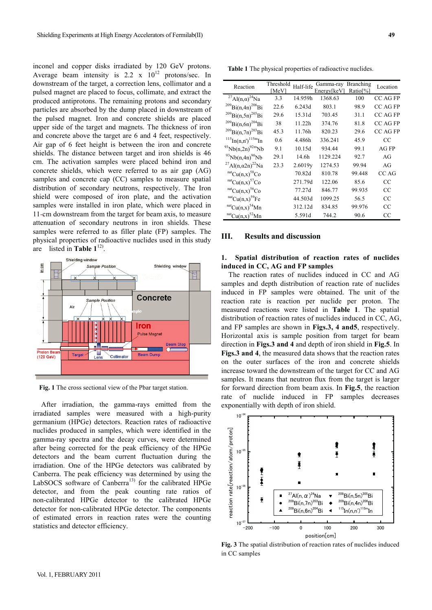inconel and copper disks irradiated by 120 GeV protons. Average beam intensity is 2.2 x  $10^{12}$  protons/sec. In downstream of the target, a correction lens, collimator and a pulsed magnet are placed to focus, collimate, and extract the produced antiprotons. The remaining protons and secondary particles are absorbed by the dump placed in downstream of the pulsed magnet. Iron and concrete shields are placed upper side of the target and magnets. The thickness of iron and concrete above the target are 6 and 4 feet, respectively. Air gap of 6 feet height is between the iron and concrete shields. The distance between target and iron shields is 46 cm. The activation samples were placed behind iron and concrete shields, which were referred to as air gap (AG) samples and concrete cap (CC) samples to measure spatial distribution of secondary neutrons, respectively. The Iron shield were composed of iron plate, and the activation samples were installed in iron plate, which were placed in 11-cm downstream from the target for beam axis, to measure attenuation of secondary neutrons in iron shields. These samples were referred to as filler plate (FP) samples. The physical properties of radioactive nuclides used in this study are listed in **Table 1**12).



**Fig. 1** The cross sectional view of the Pbar target station.

After irradiation, the gamma-rays emitted from the irradiated samples were measured with a high-purity germanium (HPGe) detectors. Reaction rates of radioactive nuclides produced in samples, which were identified in the gamma-ray spectra and the decay curves, were determined after being corrected for the peak efficiency of the HPGe detectors and the beam current fluctuation during the irradiation. One of the HPGe detectors was calibrated by Canberra. The peak efficiency was determined by using the LabSOCS software of Canberra<sup>13)</sup> for the calibrated HPGe detector, and from the peak counting rate ratios of non-calibrated HPGe detector to the calibrated HPGe detector for non-calibrated HPGe detector. The components of estimated errors in reaction rates were the counting statistics and detector efficiency.

**Table 1** The physical properties of radioactive nuclides.

| Reaction                                          | Threshold<br>[MeV] | Half-life           | Gamma-ray<br>Energy  keV | <b>Branching</b><br>Ratio <sup>[%]</sup> | Location        |
|---------------------------------------------------|--------------------|---------------------|--------------------------|------------------------------------------|-----------------|
| <sup>27</sup> Al(n, $\alpha$ ) <sup>24</sup> Na   | 3.3                | 14.959h             | 1368.63                  | 100                                      | CC AG FP        |
| $^{209}$ Bi(n,4n) <sup>206</sup> Bi               | 22.6               | 6.243d              | 803.1                    | 98.9                                     | CC AG FP        |
| $^{209}Bi(n,5n)^{205}Bi$                          | 29.6               | 15.31d              | 703.45                   | 31.1                                     | <b>CC AG FP</b> |
| $^{209}$ Bi(n,6n) <sup>204</sup> Bi               | 38                 | 11.22h              | 374.76                   | 81.8                                     | <b>CC AG FP</b> |
| $^{209}$ Bi(n,7n) <sup>203</sup> Bi               | 45.3               | 11.76h              | 820.23                   | 29.6                                     | <b>CC AG FP</b> |
| $^{115}$ In(n,n') $^{115m}$ In                    | 0.6                | 4.486h              | 336.241                  | 45.9                                     | CC              |
| $^{93}Nb(n,2n)^{92m}Nb$                           | 9.1                | 10.15d              | 934.44                   | 99.1                                     | AGFP            |
| $^{93}Nb(n,4n)^{90}Nb$                            | 29.1               | 14.6h               | 1129.224                 | 92.7                                     | AG              |
| <sup>27</sup> Al(n, $\alpha$ 2n) <sup>22</sup> Na | 23.3               | 2.6019 <sub>v</sub> | 1274.53                  | 99.94                                    | AG              |
| $\int^{\text{nat}}$ Cu(n,x) <sup>58</sup> Co      |                    | 70.82d              | 810.78                   | 99.448                                   | CC AG           |
| $\int^{\text{nat}}$ Cu(n,x) <sup>57</sup> Co      |                    | 271.79d             | 122.06                   | 85.6                                     | CC              |
| $\int^{\text{nat}}$ Cu(n,x) <sup>56</sup> Co      |                    | 77.27d              | 846.77                   | 99.935                                   | CC              |
| $\mathrm{natCu(n,x)}^{59}$ Fe                     |                    | 44.503d             | 1099.25                  | 56.5                                     | CC              |
| $\int^{\text{nat}}$ Cu(n,x) <sup>54</sup> Mn      |                    | 312.12d             | 834.85                   | 99.976                                   | CC              |
| $^{nat}Cu(n,x)^{52}Mn$                            |                    | 5.591d              | 744.2                    | 90.6                                     | CC              |

#### **III. Results and discussion**

### **1. Spatial distribution of reaction rates of nuclides induced in CC, AG and FP samples**

The reaction rates of nuclides induced in CC and AG samples and depth distribution of reaction rate of nuclides induced in FP samples were obtained. The unit of the reaction rate is reaction per nuclide per proton. The measured reactions were listed in **Table 1**. The spatial distribution of reaction rates of nuclides induced in CC, AG, and FP samples are shown in **Figs.3, 4 and5**, respectively. Horizontal axis is sample position from target for beam direction in **Figs.3 and 4** and depth of iron shield in **Fig.5**. In **Figs.3 and 4**, the measured data shows that the reaction rates on the outer surfaces of the iron and concrete shields increase toward the downstream of the target for CC and AG samples. It means that neutron flux from the target is larger for forward direction from beam axis. In **Fig.5**, the reaction rate of nuclide induced in FP samples decreases exponentially with depth of iron shield.



**Fig. 3** The spatial distribution of reaction rates of nuclides induced in CC samples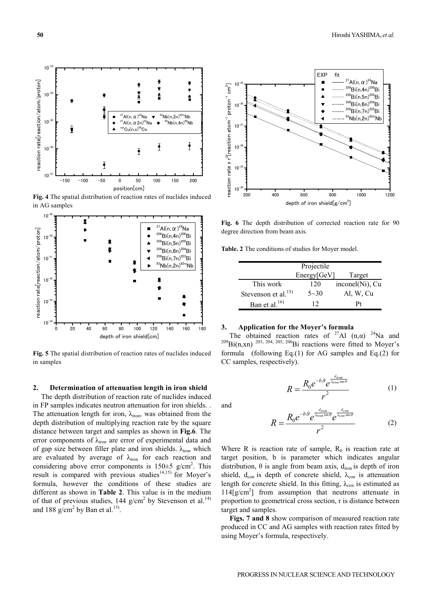$10^{-35}$ reaction rate[reaction/atom/proton] reaction rate[reaction/atom/proton] Ŷ  $10^{\degree}$ ŧ  $^{27}$ Al(n,  $\alpha$ ) $^{24}$ Na  $\blacktriangledown$   $^{93}$ Nb(n, 2n) $^{92m}$ Nb  $10<sup>-</sup>$ <sup>27</sup>Al(n,  $\alpha$  2n)<sup>22</sup>Na  $\leftrightarrow$  <sup>93</sup>Nb(n,4n)<sup>90</sup>Nb  $^{\text{st}}$ Cu $(n.x)^{58}$ Cc  $\mathbf{I}$  $\overline{\mathbf{I}}$  $10^{-3}$  $\overline{\mathbf{I}}$  $\overline{\mathbf{f}}$ 㪈㪇㪄㪊㪎  $-150$   $-100$   $-50$  0 50 100 150 200 position[cm]

**Fig. 4** The spatial distribution of reaction rates of nuclides induced in AG samples



**Fig. 5** The spatial distribution of reaction rates of nuclides induced in samples

#### **2. Determination of attenuation length in iron shield**

The depth distribution of reaction rate of nuclides induced in FP samples indicates neutron attenuation for iron shields. . The attenuation length for iron,  $\lambda_{\text{iron}}$ , was obtained from the depth distribution of multiplying reaction rate by the square distance between target and samples as shown in **Fig.6**. The error components of  $\lambda_{\text{iron}}$  are error of experimental data and of gap size between filler plate and iron shields.  $\lambda_{\text{iron}}$  which are evaluated by average of  $\lambda_{\text{iron}}$  for each reaction and considering above error components is  $150 \pm 5$  g/cm<sup>2</sup>. This result is compared with previous studies<sup>14,15)</sup> for Moyer's formula, however the conditions of these studies are different as shown in **Table 2**. This value is in the medium of that of previous studies,  $144$  g/cm<sup>2</sup> by Stevenson et al.<sup>14)</sup> and 188 g/cm<sup>2</sup> by Ban et al.<sup>15)</sup>.



**Fig. 6** The depth distribution of corrected reaction rate for 90 degree direction from beam axis.

**Table. 2** The conditions of studies for Moyer model.

| Projectile                |             |                 |  |  |
|---------------------------|-------------|-----------------|--|--|
|                           | Energy[GeV] | Target          |  |  |
| This work                 | 120         | inconel(Ni), Cu |  |  |
| Stevenson et al. $^{15)}$ | $5 - 30$    | Al, W, Cu       |  |  |
| Ban et al. <sup>16)</sup> | 12          | Ρt              |  |  |

#### **3. Application for the Moyer's formula**

The obtained reaction rates of <sup>27</sup>Al  $(n,\alpha)$  <sup>24</sup>Na and <sup>209</sup>Bi(n,xn) <sup>203, 204, 205, 206</sup>Bi reactions were fitted to Moyer's formula (following Eq.(1) for AG samples and Eq.(2) for CC samples, respectively).

$$
R = \frac{R_0 e^{-b\theta} e^{\frac{d_{iron}}{d_{iron}\sin\theta}}}{r^2}
$$
 (1)

and

$$
R = \frac{R_0 e^{-b\vartheta} e^{\frac{d_{iron}}{\lambda_{ron}\sin\theta}} e^{\frac{d_{con}}{\lambda_{con}\sin\theta}}}{r^2}
$$
 (2)

Where R is reaction rate of sample,  $R_0$  is reaction rate at target position, b is parameter which indicates angular distribution,  $\theta$  is angle from beam axis,  $d_{\text{iron}}$  is depth of iron shield,  $d_{con}$  is depth of concrete shield,  $\lambda_{con}$  is attenuation length for concrete shield. In this fitting,  $\lambda_{con}$  is estimated as 114[g/cm2 ] from assumption that neutrons attenuate in proportion to geometrical cross section, r is distance between target and samples.

**Figs. 7 and 8** show comparison of measured reaction rate produced in CC and AG samples with reaction rates fitted by using Moyer's formula, respectively.